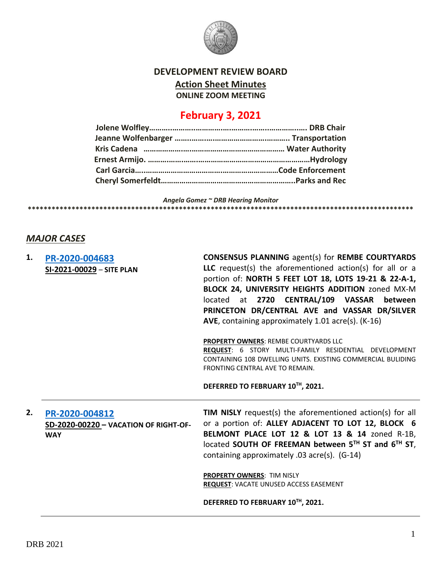

**DEVELOPMENT REVIEW BOARD**

**Action Sheet Minutes**

**ONLINE ZOOM MEETING**

# **February 3, 2021**

*Angela Gomez ~ DRB Hearing Monitor* **\*\*\*\*\*\*\*\*\*\*\*\*\*\*\*\*\*\*\*\*\*\*\*\*\*\*\*\*\*\*\*\*\*\*\*\*\*\*\*\*\*\*\*\*\*\*\*\*\*\*\*\*\*\*\*\*\*\*\*\*\*\*\*\*\*\*\*\*\*\*\*\*\*\*\*\*\*\*\*\*\*\*\*\*\*\*\*\*\*\*\*\*\*\*\*\*\***

### *MAJOR CASES*

| 1. | PR-2020-004683<br>SI-2021-00029 - SITE PLAN                           | <b>CONSENSUS PLANNING agent(s) for REMBE COURTYARDS</b><br>LLC request(s) the aforementioned action(s) for all or a<br>portion of: NORTH 5 FEET LOT 18, LOTS 19-21 & 22-A-1,<br>BLOCK 24, UNIVERSITY HEIGHTS ADDITION zoned MX-M<br>located at 2720 CENTRAL/109 VASSAR between<br>PRINCETON DR/CENTRAL AVE and VASSAR DR/SILVER<br>AVE, containing approximately 1.01 acre(s). (K-16) |
|----|-----------------------------------------------------------------------|---------------------------------------------------------------------------------------------------------------------------------------------------------------------------------------------------------------------------------------------------------------------------------------------------------------------------------------------------------------------------------------|
|    |                                                                       | PROPERTY OWNERS: REMBE COURTYARDS LLC<br>REQUEST: 6 STORY MULTI-FAMILY RESIDENTIAL DEVELOPMENT<br>CONTAINING 108 DWELLING UNITS, EXISTING COMMERCIAL BULIDING<br>FRONTING CENTRAL AVE TO REMAIN.                                                                                                                                                                                      |
|    |                                                                       | DEFERRED TO FEBRUARY 10TH, 2021.                                                                                                                                                                                                                                                                                                                                                      |
| 2. | PR-2020-004812<br>SD-2020-00220 - VACATION OF RIGHT-OF-<br><b>WAY</b> | TIM NISLY request(s) the aforementioned action(s) for all<br>or a portion of: ALLEY ADJACENT TO LOT 12, BLOCK 6<br>BELMONT PLACE LOT 12 & LOT 13 & 14 zoned R-1B,<br>located SOUTH OF FREEMAN between 5TH ST and 6TH ST,<br>containing approximately .03 acre(s). (G-14)                                                                                                              |
|    |                                                                       | <b>PROPERTY OWNERS: TIM NISLY</b><br><b>REQUEST: VACATE UNUSED ACCESS EASEMENT</b>                                                                                                                                                                                                                                                                                                    |
|    |                                                                       | DEFERRED TO FEBRUARY 10TH, 2021.                                                                                                                                                                                                                                                                                                                                                      |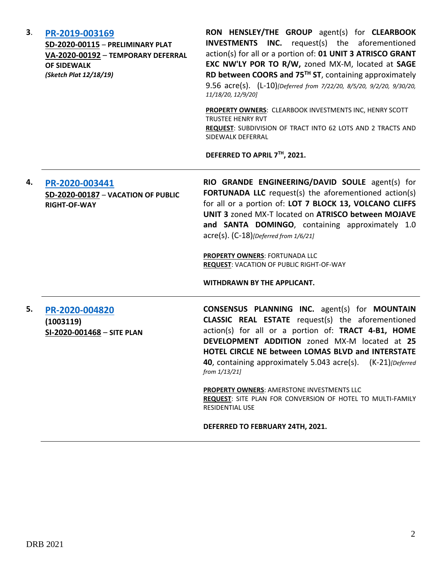| 3. | PR-2019-003169<br>SD-2020-00115 - PRELIMINARY PLAT<br>VA-2020-00192 - TEMPORARY DEFERRAL<br><b>OF SIDEWALK</b><br>(Sketch Plat 12/18/19) | RON HENSLEY/THE GROUP agent(s) for CLEARBOOK<br><b>INVESTMENTS INC.</b> request(s) the aforementioned<br>action(s) for all or a portion of: 01 UNIT 3 ATRISCO GRANT<br>EXC NW'LY POR TO R/W, zoned MX-M, located at SAGE<br>RD between COORS and 75 <sup>TH</sup> ST, containing approximately<br>9.56 acre(s). (L-10)[Deferred from 7/22/20, 8/5/20, 9/2/20, 9/30/20,<br>11/18/20, 12/9/20]<br>PROPERTY OWNERS: CLEARBOOK INVESTMENTS INC, HENRY SCOTT<br><b>TRUSTEE HENRY RVT</b><br>REQUEST: SUBDIVISION OF TRACT INTO 62 LOTS AND 2 TRACTS AND<br>SIDEWALK DEFERRAL |
|----|------------------------------------------------------------------------------------------------------------------------------------------|-------------------------------------------------------------------------------------------------------------------------------------------------------------------------------------------------------------------------------------------------------------------------------------------------------------------------------------------------------------------------------------------------------------------------------------------------------------------------------------------------------------------------------------------------------------------------|
|    |                                                                                                                                          | DEFERRED TO APRIL 7TH, 2021.                                                                                                                                                                                                                                                                                                                                                                                                                                                                                                                                            |
| 4. | PR-2020-003441<br>SD-2020-00187 - VACATION OF PUBLIC<br><b>RIGHT-OF-WAY</b>                                                              | RIO GRANDE ENGINEERING/DAVID SOULE agent(s) for<br><b>FORTUNADA LLC</b> request(s) the aforementioned action(s)<br>for all or a portion of: LOT 7 BLOCK 13, VOLCANO CLIFFS<br>UNIT 3 zoned MX-T located on ATRISCO between MOJAVE<br>and SANTA DOMINGO, containing approximately 1.0<br>acre(s). (C-18)[Deferred from 1/6/21]<br><b>PROPERTY OWNERS: FORTUNADA LLC</b><br><b>REQUEST: VACATION OF PUBLIC RIGHT-OF-WAY</b><br>WITHDRAWN BY THE APPLICANT.                                                                                                                |
| 5. | PR-2020-004820<br>(1003119)<br>SI-2020-001468 - SITE PLAN                                                                                | <b>CONSENSUS PLANNING INC.</b> agent(s) for MOUNTAIN<br><b>CLASSIC REAL ESTATE</b> request(s) the aforementioned<br>action(s) for all or a portion of: TRACT 4-B1, HOME<br>DEVELOPMENT ADDITION zoned MX-M located at 25<br>HOTEL CIRCLE NE between LOMAS BLVD and INTERSTATE<br>40, containing approximately 5.043 acre(s). (K-21) [Deferred]<br>from 1/13/21]<br>PROPERTY OWNERS: AMERSTONE INVESTMENTS LLC<br>REQUEST: SITE PLAN FOR CONVERSION OF HOTEL TO MULTI-FAMILY<br><b>RESIDENTIAL USE</b><br>DEFERRED TO FEBRUARY 24TH, 2021.                               |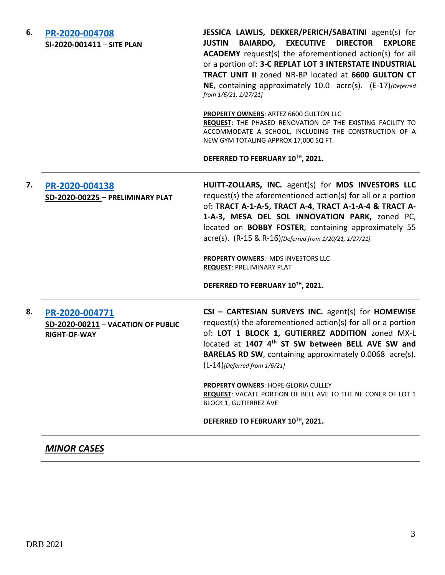| 6. | PR-2020-004708<br>SI-2020-001411 - SITE PLAN                                | JESSICA LAWLIS, DEKKER/PERICH/SABATINI agent(s) for<br><b>BAIARDO, EXECUTIVE DIRECTOR</b><br><b>JUSTIN</b><br><b>EXPLORE</b><br><b>ACADEMY</b> request(s) the aforementioned action(s) for all<br>or a portion of: 3-C REPLAT LOT 3 INTERSTATE INDUSTRIAL<br><b>TRACT UNIT II zoned NR-BP located at 6600 GULTON CT</b><br>NE, containing approximately 10.0 acre(s). (E-17) [Deferred]<br>from 1/6/21, 1/27/21]<br><b>PROPERTY OWNERS: ARTEZ 6600 GULTON LLC</b><br>REQUEST: THE PHASED RENOVATION OF THE EXISTING FACILITY TO<br>ACCOMMODATE A SCHOOL, INCLUDING THE CONSTRUCTION OF A<br>NEW GYM TOTALING APPROX 17,000 SQ FT.<br>DEFERRED TO FEBRUARY 10TH, 2021. |
|----|-----------------------------------------------------------------------------|-----------------------------------------------------------------------------------------------------------------------------------------------------------------------------------------------------------------------------------------------------------------------------------------------------------------------------------------------------------------------------------------------------------------------------------------------------------------------------------------------------------------------------------------------------------------------------------------------------------------------------------------------------------------------|
| 7. | PR-2020-004138<br>SD-2020-00225 - PRELIMINARY PLAT                          | HUITT-ZOLLARS, INC. agent(s) for MDS INVESTORS LLC<br>request(s) the aforementioned action(s) for all or a portion<br>of: TRACT A-1-A-5, TRACT A-4, TRACT A-1-A-4 & TRACT A-<br>1-A-3, MESA DEL SOL INNOVATION PARK, zoned PC,<br>located on <b>BOBBY FOSTER</b> , containing approximately 55<br>acre(s). (R-15 & R-16)[Deferred from 1/20/21, 1/27/21]<br>PROPERTY OWNERS: MDS INVESTORS LLC<br><b>REQUEST: PRELIMINARY PLAT</b><br>DEFERRED TO FEBRUARY 10TH, 2021.                                                                                                                                                                                                |
| 8. | PR-2020-004771<br>SD-2020-00211 - VACATION OF PUBLIC<br><b>RIGHT-OF-WAY</b> | CSI - CARTESIAN SURVEYS INC. agent(s) for HOMEWISE<br>request(s) the aforementioned action(s) for all or a portion<br>of: LOT 1 BLOCK 1, GUTIERREZ ADDITION zoned MX-L<br>located at 1407 4 <sup>th</sup> ST SW between BELL AVE SW and<br><b>BARELAS RD SW, containing approximately 0.0068 acre(s).</b><br>$(L-14)$ [Deferred from 1/6/21]<br>PROPERTY OWNERS: HOPE GLORIA CULLEY<br>REQUEST: VACATE PORTION OF BELL AVE TO THE NE CONER OF LOT 1<br><b>BLOCK 1, GUTIERREZ AVE</b><br>DEFERRED TO FEBRUARY 10TH, 2021.                                                                                                                                              |

## *MINOR CASES*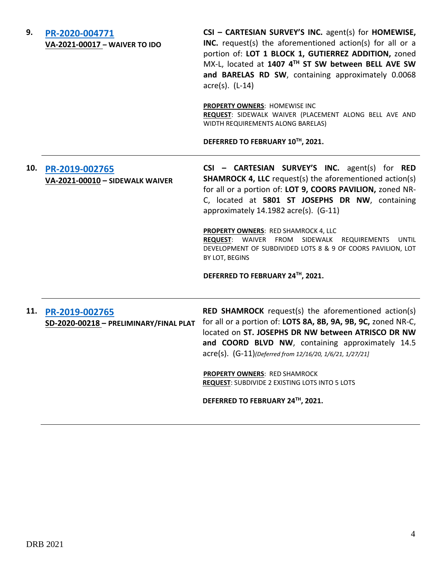**9. [PR-2020-004771](http://data.cabq.gov/government/planning/DRB/PR-2020-004771/DRB%20Submittals/PR-2020-004771_Feb_3_2021%20(Waiver)/DRB_appli_SW_Waiver_PR-2020-004771.pdf) VA-2021-00017 – WAIVER TO IDO** **CSI – CARTESIAN SURVEY'S INC.** agent(s) for **HOMEWISE, INC.** request(s) the aforementioned action(s) for all or a portion of: **LOT 1 BLOCK 1, GUTIERREZ ADDITION,** zoned MX-L, located at **1407 4TH ST SW between BELL AVE SW and BARELAS RD SW**, containing approximately 0.0068 acre(s). (L-14)

**PROPERTY OWNERS**: HOMEWISE INC **REQUEST**: SIDEWALK WAIVER (PLACEMENT ALONG BELL AVE AND WIDTH REQUIREMENTS ALONG BARELAS)

**DEFERRED TO FEBRUARY 10TH, 2021.**

## **10. [PR-2019-002765](http://data.cabq.gov/government/planning/DRB/PR-2019-002765/DRB%20Submittals/PR-2019-002765_Feb_3_2021%20(Sidewalk%20Waiver)/DRB%20V-DRB%20Cartesian%20PR-2019-002765%20VA-2021-00010%20signed%20copy.pdf) VA-2021-00010 – SIDEWALK WAIVER**

**CSI – CARTESIAN SURVEY'S INC.** agent(s) for **RED SHAMROCK 4, LLC** request(s) the aforementioned action(s) for all or a portion of: **LOT 9, COORS PAVILION,** zoned NR-C, located at **5801 ST JOSEPHS DR NW**, containing approximately 14.1982 acre(s). (G-11)

**PROPERTY OWNERS**: RED SHAMROCK 4, LLC **REQUEST**: WAIVER FROM SIDEWALK REQUIREMENTS UNTIL DEVELOPMENT OF SUBDIVIDED LOTS 8 & 9 OF COORS PAVILION, LOT BY LOT, BEGINS

**DEFERRED TO FEBRUARY 24TH, 2021.**

**11. [PR-2019-002765](http://data.cabq.gov/government/planning/DRB/PR-2019-002765/DRB%20Submittals/) SD-2020-00218 – PRELIMINARY/FINAL PLAT**

**RED SHAMROCK** request(s) the aforementioned action(s) for all or a portion of: **LOTS 8A, 8B, 9A, 9B, 9C,** zoned NR-C, located on **ST. JOSEPHS DR NW between ATRISCO DR NW and COORD BLVD NW**, containing approximately 14.5 acre(s). (G-11)*(Deferred from 12/16/20, 1/6/21, 1/27/21]*

**PROPERTY OWNERS**: RED SHAMROCK **REQUEST**: SUBDIVIDE 2 EXISTING LOTS INTO 5 LOTS

**DEFERRED TO FEBRUARY 24TH, 2021.**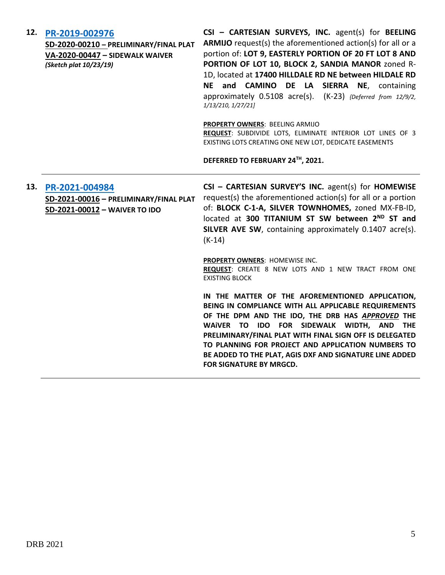| 12. | PR-2019-002976<br>SD-2020-00210 - PRELIMINARY/FINAL PLAT<br>VA-2020-00447 - SIDEWALK WAIVER<br>(Sketch plat 10/23/19) | CSI - CARTESIAN SURVEYS, INC. agent(s) for BEELING<br>ARMIJO request(s) the aforementioned action(s) for all or a<br>portion of: LOT 9, EASTERLY PORTION OF 20 FT LOT 8 AND<br>PORTION OF LOT 10, BLOCK 2, SANDIA MANOR zoned R-<br>1D, located at 17400 HILLDALE RD NE between HILDALE RD<br>NE and CAMINO DE LA SIERRA NE, containing<br>approximately 0.5108 acre(s). (K-23) {Deferred from 12/9/2,<br>1/13/210, 1/27/21]<br>PROPERTY OWNERS: BEELING ARMIJO<br>REQUEST: SUBDIVIDE LOTS, ELIMINATE INTERIOR LOT LINES OF 3<br>EXISTING LOTS CREATING ONE NEW LOT, DEDICATE EASEMENTS<br>DEFERRED TO FEBRUARY 24TH, 2021. |
|-----|-----------------------------------------------------------------------------------------------------------------------|-----------------------------------------------------------------------------------------------------------------------------------------------------------------------------------------------------------------------------------------------------------------------------------------------------------------------------------------------------------------------------------------------------------------------------------------------------------------------------------------------------------------------------------------------------------------------------------------------------------------------------|
| 13. | PR-2021-004984<br>SD-2021-00016 - PRELIMINARY/FINAL PLAT<br>SD-2021-00012 - WAIVER TO IDO                             | CSI - CARTESIAN SURVEY'S INC. agent(s) for HOMEWISE<br>request(s) the aforementioned action(s) for all or a portion<br>of: BLOCK C-1-A, SILVER TOWNHOMES, zoned MX-FB-ID,<br>located at 300 TITANIUM ST SW between 2 <sup>ND</sup> ST and<br>SILVER AVE SW, containing approximately 0.1407 acre(s).<br>$(K-14)$                                                                                                                                                                                                                                                                                                            |
|     |                                                                                                                       | PROPERTY OWNERS: HOMEWISE INC.<br>REQUEST: CREATE 8 NEW LOTS AND 1 NEW TRACT FROM ONE<br><b>EXISTING BLOCK</b>                                                                                                                                                                                                                                                                                                                                                                                                                                                                                                              |
|     |                                                                                                                       | IN THE MATTER OF THE AFOREMENTIONED APPLICATION,<br>BEING IN COMPLIANCE WITH ALL APPLICABLE REQUIREMENTS<br>OF THE DPM AND THE IDO, THE DRB HAS APPROVED THE<br>WAIVER TO IDO FOR SIDEWALK WIDTH, AND THE<br>PRELIMINARY/FINAL PLAT WITH FINAL SIGN OFF IS DELEGATED<br>TO PLANNING FOR PROJECT AND APPLICATION NUMBERS TO<br>BE ADDED TO THE PLAT, AGIS DXF AND SIGNATURE LINE ADDED<br><b>FOR SIGNATURE BY MRGCD.</b>                                                                                                                                                                                                     |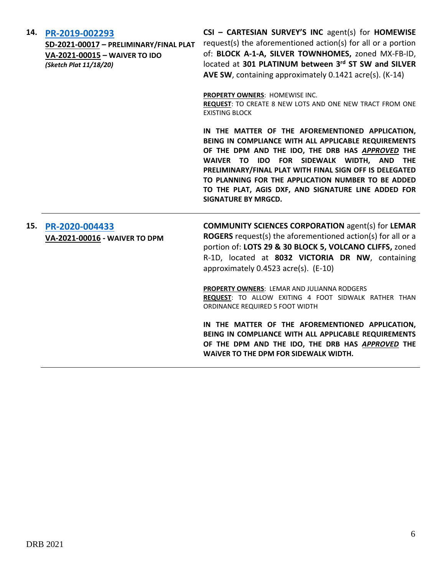#### **14. [PR-2019-002293](http://data.cabq.gov/government/planning/DRB/PR-2019-002293/DRB%20Submittals/PR-2019-002293_Feb_3_2021/Application/)**

**SD-2021-00017 – PRELIMINARY/FINAL PLAT VA-2021-00015 – WAIVER TO IDO** *(Sketch Plat 11/18/20)*

**CSI – CARTESIAN SURVEY'S INC** agent(s) for **HOMEWISE** request(s) the aforementioned action(s) for all or a portion of: **BLOCK A-1-A, SILVER TOWNHOMES,** zoned MX-FB-ID, located at **301 PLATINUM between 3rd ST SW and SILVER AVE SW**, containing approximately 0.1421 acre(s). (K-14)

**PROPERTY OWNERS**: HOMEWISE INC.

**REQUEST**: TO CREATE 8 NEW LOTS AND ONE NEW TRACT FROM ONE EXISTING BLOCK

**IN THE MATTER OF THE AFOREMENTIONED APPLICATION, BEING IN COMPLIANCE WITH ALL APPLICABLE REQUIREMENTS OF THE DPM AND THE IDO, THE DRB HAS** *APPROVED* **THE WAIVER TO IDO FOR SIDEWALK WIDTH, AND THE PRELIMINARY/FINAL PLAT WITH FINAL SIGN OFF IS DELEGATED TO PLANNING FOR THE APPLICATION NUMBER TO BE ADDED TO THE PLAT, AGIS DXF, AND SIGNATURE LINE ADDED FOR SIGNATURE BY MRGCD.**

## **15. [PR-2020-004433](http://data.cabq.gov/government/planning/DRB/PR-2020-004433/DRB%20Submittals/PR-2020-004433_Feb_3_2021/Application/) VA-2021-00016 - WAIVER TO DPM**

**COMMUNITY SCIENCES CORPORATION** agent(s) for **LEMAR ROGERS** request(s) the aforementioned action(s) for all or a portion of: **LOTS 29 & 30 BLOCK 5, VOLCANO CLIFFS,** zoned R-1D, located at **8032 VICTORIA DR NW**, containing approximately 0.4523 acre(s). (E-10)

**PROPERTY OWNERS**: LEMAR AND JULIANNA RODGERS **REQUEST**: TO ALLOW EXITING 4 FOOT SIDWALK RATHER THAN ORDINANCE REQUIRED 5 FOOT WIDTH

**IN THE MATTER OF THE AFOREMENTIONED APPLICATION, BEING IN COMPLIANCE WITH ALL APPLICABLE REQUIREMENTS OF THE DPM AND THE IDO, THE DRB HAS** *APPROVED* **THE WAiVER TO THE DPM FOR SIDEWALK WIDTH.**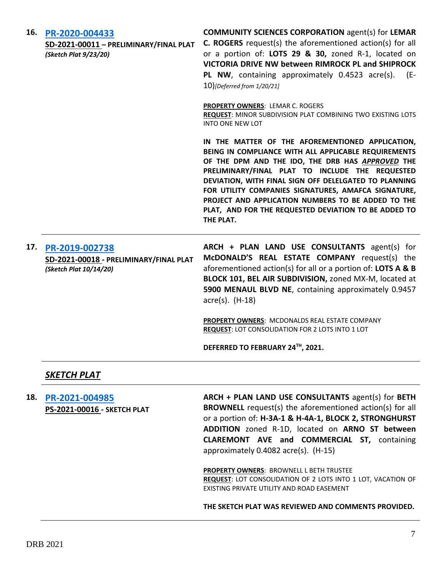| 16. | PR-2020-004433<br>SD-2021-00011 - PRELIMINARY/FINAL PLAT<br>(Sketch Plat 9/23/20)  | <b>COMMUNITY SCIENCES CORPORATION agent(s) for LEMAR</b><br><b>C. ROGERS</b> request(s) the aforementioned action(s) for all<br>or a portion of: LOTS 29 & 30, zoned R-1, located on<br>VICTORIA DRIVE NW between RIMROCK PL and SHIPROCK<br>PL NW, containing approximately 0.4523 acre(s). (E-<br>10)[Deferred from 1/20/21]                                                                                                                             |
|-----|------------------------------------------------------------------------------------|------------------------------------------------------------------------------------------------------------------------------------------------------------------------------------------------------------------------------------------------------------------------------------------------------------------------------------------------------------------------------------------------------------------------------------------------------------|
|     |                                                                                    | <b>PROPERTY OWNERS: LEMAR C. ROGERS</b><br>REQUEST: MINOR SUBDIVISION PLAT COMBINING TWO EXISTING LOTS<br><b>INTO ONE NEW LOT</b>                                                                                                                                                                                                                                                                                                                          |
|     |                                                                                    | IN THE MATTER OF THE AFOREMENTIONED APPLICATION,<br>BEING IN COMPLIANCE WITH ALL APPLICABLE REQUIREMENTS<br>OF THE DPM AND THE IDO, THE DRB HAS APPROVED THE<br>PRELIMINARY/FINAL PLAT TO INCLUDE THE REQUESTED<br>DEVIATION, WITH FINAL SIGN OFF DELELGATED TO PLANNING<br>FOR UTILITY COMPANIES SIGNATURES, AMAFCA SIGNATURE,<br>PROJECT AND APPLICATION NUMBERS TO BE ADDED TO THE<br>PLAT, AND FOR THE REQUESTED DEVIATION TO BE ADDED TO<br>THE PLAT. |
| 17. | PR-2019-002738<br>SD-2021-00018 - PRELIMINARY/FINAL PLAT<br>(Sketch Plat 10/14/20) | ARCH + PLAN LAND USE CONSULTANTS agent(s) for<br>McDONALD'S REAL ESTATE COMPANY request(s) the<br>aforementioned action(s) for all or a portion of: LOTS A & B<br>BLOCK 101, BEL AIR SUBDIVISION, zoned MX-M, located at<br>5900 MENAUL BLVD NE, containing approximately 0.9457<br>$\arccos(5)$ . (H-18)                                                                                                                                                  |
|     |                                                                                    | PROPERTY OWNERS: MCDONALDS REAL ESTATE COMPANY<br>REQUEST: LOT CONSOLIDATION FOR 2 LOTS INTO 1 LOT                                                                                                                                                                                                                                                                                                                                                         |
|     |                                                                                    | DEFERRED TO FEBRUARY 24TH, 2021.                                                                                                                                                                                                                                                                                                                                                                                                                           |
|     | <b>SKETCH PLAT</b>                                                                 |                                                                                                                                                                                                                                                                                                                                                                                                                                                            |
| 18. | PR-2021-004985<br><b>PS-2021-00016 - SKETCH PLAT</b>                               | ARCH + PLAN LAND USE CONSULTANTS agent(s) for BETH<br><b>BROWNELL</b> request(s) the aforementioned action(s) for all<br>$\alpha$ and $\alpha$ and $\alpha$ and $\alpha$ and $\alpha$ and $\alpha$ and $\alpha$ and $\alpha$ and $\alpha$ and $\alpha$ and $\alpha$ and $\alpha$ and $\alpha$ and $\alpha$ and $\alpha$ and $\alpha$ and $\alpha$ and $\alpha$ and $\alpha$ and $\alpha$ and $\alpha$ and $\alpha$ and $\alpha$ and $\alpha$ and $\alpha$  |

or a portion of: **H-3A-1 & H-4A-1, BLOCK 2, STRONGHURST ADDITION** zoned R-1D, located on **ARNO ST between CLAREMONT AVE and COMMERCIAL ST,** containing approximately 0.4082 acre(s). (H-15)

**PROPERTY OWNERS**: BROWNELL L BETH TRUSTEE **REQUEST**: LOT CONSOLIDATION OF 2 LOTS INTO 1 LOT, VACATION OF EXISTING PRIVATE UTILITY AND ROAD EASEMENT

**THE SKETCH PLAT WAS REVIEWED AND COMMENTS PROVIDED.**